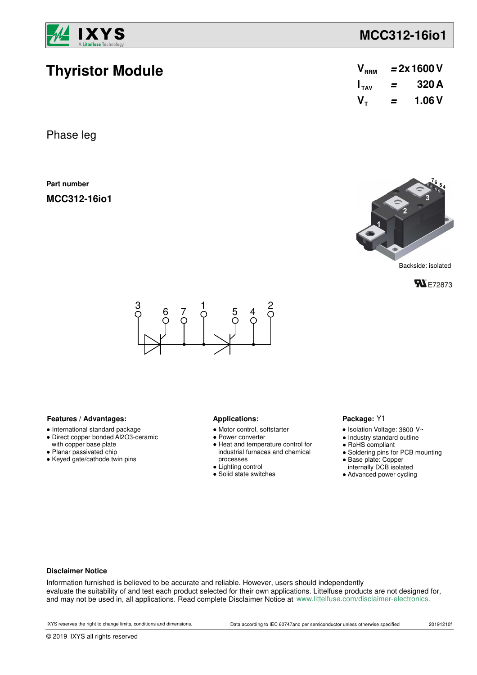

**Thyristor Module**

## **MCC312-16io1**

| V <sub>RRM</sub> | $= 2x 1600 V$ |        |  |
|------------------|---------------|--------|--|
| $I_{TAV}$        | =             | 320 A  |  |
| V-               | =             | 1.06 V |  |

Phase leg

**Part number**

**MCC312-16io1**



Backside: isolated





#### Features / Advantages: **All Applications: Applications:**

- International standard package
- Direct copper bonded Al2O3-ceramic with copper base plate
- Planar passivated chip
- Keyed gate/cathode twin pins

- Motor control, softstarter
- Power converter
- Heat and temperature control for industrial furnaces and chemical processes
- Lighting control
- Solid state switches

#### Package: Y1

- $\bullet$  Isolation Voltage: 3600 V~
- Industry standard outline
- RoHS compliant
- Soldering pins for PCB mounting
- Base plate: Copper
- internally DCB isolated
- Advanced power cycling

#### **Disclaimer Notice**

Information furnished is believed to be accurate and reliable. However, users should independently evaluate the suitability of and test each product selected for their own applications. Littelfuse products are not designed for, and may not be used in, all applications. Read complete Disclaimer Notice at www.littelfuse.com/disclaimer-electronics.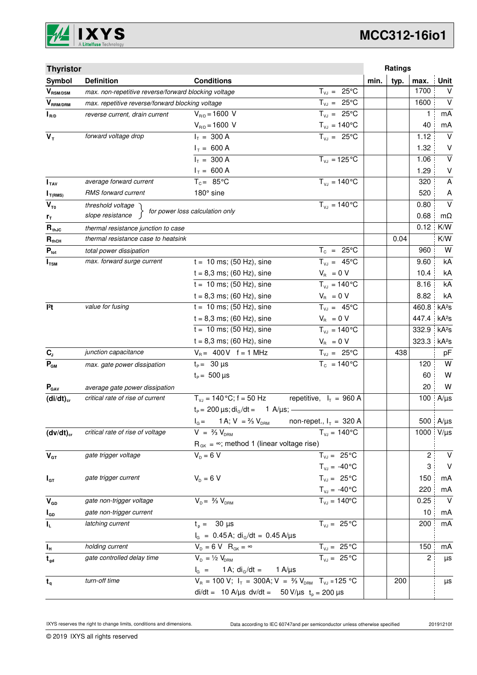

# **MCC312-16io1**

| <b>Thyristor</b>            |                                                                          |                                                                                   |                             |      | Ratings |       |                   |
|-----------------------------|--------------------------------------------------------------------------|-----------------------------------------------------------------------------------|-----------------------------|------|---------|-------|-------------------|
| Symbol                      | <b>Definition</b>                                                        | <b>Conditions</b>                                                                 |                             | min. | typ.    | max.  | <b>Unit</b>       |
| $V_{\text{RSM/DSM}}$        | max. non-repetitive reverse/forward blocking voltage                     |                                                                                   | $T_{VJ} = 25^{\circ}C$      |      |         | 1700  | V                 |
| $V_{\text{RRM}/\text{DRM}}$ | max. repetitive reverse/forward blocking voltage                         |                                                                                   | $T_{VJ} = 25^{\circ}C$      |      |         | 1600  | $\vee$            |
| $I_{R/D}$                   | reverse current, drain current                                           | $V_{R/D} = 1600 V$                                                                | $T_{VJ} = 25^{\circ}C$      |      |         | 1     | mA                |
|                             |                                                                          | $V_{R/D} = 1600 V$                                                                | $T_{\nu J} = 140^{\circ}C$  |      |         | 40    | mA                |
| $V_T$                       | forward voltage drop                                                     | $I_T = 300 A$                                                                     | $T_{VJ} = 25^{\circ}C$      |      |         | 1.12  | $\vee$            |
|                             |                                                                          | $I_T = 600 A$                                                                     |                             |      |         | 1.32  | V                 |
|                             |                                                                          | $I_T = 300 A$                                                                     | $T_{VJ} = 125$ °C           |      |         | 1.06  | $\vee$            |
|                             |                                                                          | $I_T = 600 A$                                                                     |                             |      |         | 1.29  | $\sf V$           |
| $I_{\text{TAV}}$            | average forward current                                                  | $T_c = 85^{\circ}$ C                                                              | $T_{V1} = 140^{\circ}C$     |      |         | 320   | A                 |
| $I_{T(RMS)}$                | <b>RMS</b> forward current                                               | 180° sine                                                                         |                             |      |         | 520   | A                 |
| $V_{T0}$                    | threshold voltage                                                        | for power loss calculation only                                                   | $T_{V,I} = 140^{\circ}C$    |      |         | 0.80  | $\vee$            |
| $r_{\text{T}}$              | slope resistance                                                         |                                                                                   |                             |      |         | 0.68  | $m\Omega$         |
| $R_{thJC}$                  | thermal resistance junction to case                                      |                                                                                   |                             |      |         | 0.12  | K/W               |
| $R_{thCH}$                  | thermal resistance case to heatsink                                      |                                                                                   |                             |      | 0.04    |       | K/W               |
| $P_{\text{tot}}$            | total power dissipation                                                  |                                                                                   | $T_c = 25^{\circ}C$         |      |         | 960   | W                 |
| $I_{TSM}$                   | max. forward surge current                                               | $t = 10$ ms; (50 Hz), sine                                                        | $T_{VJ} = 45^{\circ}C$      |      |         | 9.60  | kA                |
|                             |                                                                          | $t = 8,3$ ms; (60 Hz), sine                                                       | $V_{\rm R}~=0~V$            |      |         | 10.4  | kA                |
|                             |                                                                          | $t = 10$ ms; (50 Hz), sine                                                        | $T_{VJ} = 140^{\circ}C$     |      |         | 8.16  | kA                |
|                             |                                                                          | $t = 8,3$ ms; (60 Hz), sine                                                       | $V_{\rm B} = 0 V$           |      |         | 8.82  | kA                |
| $ ^{2}t$                    | value for fusing                                                         | $t = 10$ ms; (50 Hz), sine                                                        | $T_{VJ} = 45^{\circ}C$      |      |         | 460.8 | kA <sup>2</sup> S |
|                             |                                                                          | $t = 8,3$ ms; (60 Hz), sine                                                       | $V_R = 0 V$                 |      |         | 447.4 | kA <sup>2</sup> S |
|                             |                                                                          | $t = 10$ ms; (50 Hz), sine                                                        | $T_{VJ} = 140^{\circ}C$     |      |         | 332.9 | kA <sup>2</sup> S |
|                             |                                                                          | $t = 8,3$ ms; (60 Hz), sine                                                       | $V_{\rm R} = 0 V$           |      |         | 323.3 | kA <sup>2</sup> S |
| $C_{J}$                     | junction capacitance                                                     | $V_B = 400V$ f = 1 MHz                                                            | $T_{\nu J} = 25^{\circ}C$   |      | 438     |       | pF                |
| $\mathbf{P}_{\texttt{GM}}$  | max. gate power dissipation                                              | $t_P = 30 \mu s$                                                                  | $\overline{T_c}$ = 140°C    |      |         | 120   | W                 |
|                             |                                                                          | $t_{\rm p} = 500 \,\mu s$                                                         |                             |      |         | 60    | W                 |
| $P_{\text{GAV}}$            | average gate power dissipation                                           |                                                                                   |                             |      |         | 20    | W                 |
| $(di/dt)_{cr}$              | critical rate of rise of current                                         | $T_{vJ} = 140\degree C$ ; f = 50 Hz                                               | repetitive, $I_T = 960 A$   |      |         | 100   | $A/\mu s$         |
|                             |                                                                          | $t_P = 200 \,\mu s$ ; di <sub>g</sub> /dt = 1 A/ $\mu s$ ; -                      |                             |      |         |       |                   |
|                             |                                                                          | $I_G = 1 A; V = \frac{2}{3} V_{DRM}$                                              | non-repet., $I_T = 320$ A   |      |         |       | 500 $A/\mu s$     |
| $(dv/dt)_{cr}$              | critical rate of rise of voltage                                         | $V = \frac{2}{3} V_{DBM}$                                                         | $T_{VJ} = 140^{\circ}C$     |      |         | 1000  | $V/\mu s$         |
|                             |                                                                          | $R_{GK} = \infty$ ; method 1 (linear voltage rise)                                |                             |      |         |       |                   |
| $V_{GT}$                    | gate trigger voltage                                                     | $V_p = 6 V$                                                                       | $T_{VJ} = 25^{\circ}C$      |      |         | 2     | $\vee$            |
|                             |                                                                          |                                                                                   | $T_{VJ} = -40^{\circ}C$     |      |         | 3     | $\vee$            |
| $I_{GT}$                    | gate trigger current                                                     | $V_{D} = 6 V$                                                                     | $T_{VJ} = 25^{\circ}C$      |      |         | 150   | mA                |
|                             |                                                                          |                                                                                   | $T_{VJ} = -40\degree C$     |      |         | 220   | mA                |
| $V_{GD}$                    | gate non-trigger voltage                                                 | $V_{D} = \frac{2}{3} V_{DBM}$                                                     | $T_{VJ} = 140^{\circ}C$     |      |         | 0.25  | $\vee$            |
| $I_{GD}$                    | gate non-trigger current                                                 |                                                                                   |                             |      |         | 10    | mA                |
| IL.                         | latching current                                                         | $t_{p} = 30 \text{ }\mu\text{s}$                                                  | $T_{VJ} = 25^{\circ}C$      |      |         | 200   | mA                |
|                             |                                                                          | $I_G = 0.45 A$ ; di <sub>G</sub> /dt = 0.45 A/µs                                  |                             |      |         |       |                   |
| $I_{\rm H}$                 | holding current                                                          | $V_{D} = 6 V R_{GK} = \infty$                                                     | $T_{VJ} = 25^{\circ}C$      |      |         | 150   | mA                |
| $t_{gd}$                    | gate controlled delay time                                               | $V_{D} = \frac{1}{2} V_{DRM}$                                                     | $\overline{T_{VJ}}$ = 25 °C |      |         | 2     | μs                |
|                             |                                                                          | 1 A; $di_G/dt =$<br>$I_{\rm G}$ =                                                 | 1 A/µs                      |      |         |       |                   |
| $t_{q}$                     | turn-off time                                                            | $V_R = 100 V$ ; $I_T = 300A$ ; $V = \frac{2}{3} V_{DRM}$ T <sub>VJ</sub> = 125 °C |                             |      | 200     |       | μs                |
|                             | di/dt = 10 A/ $\mu$ s dv/dt = 50 V/ $\mu$ s t <sub>p</sub> = 200 $\mu$ s |                                                                                   |                             |      |         |       |                   |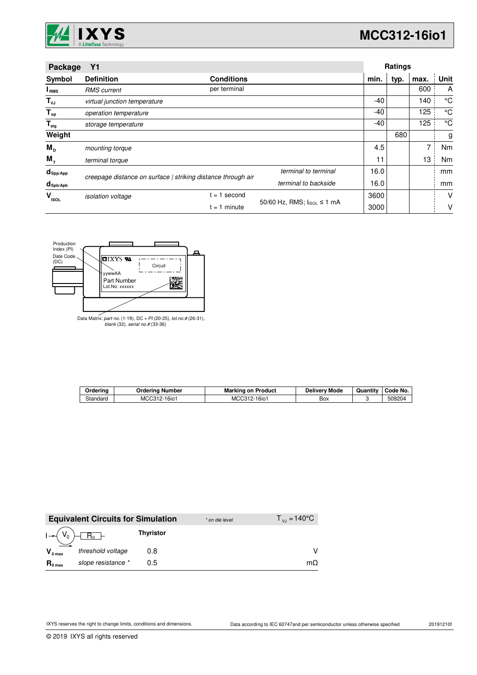

| Package                     | <b>Y1</b>                                                    |                   |                            |       | Ratings |      |      |
|-----------------------------|--------------------------------------------------------------|-------------------|----------------------------|-------|---------|------|------|
| Symbol                      | <b>Definition</b>                                            | <b>Conditions</b> |                            | min.  | typ.    | max. | Unit |
| I RMS                       | <b>RMS</b> current                                           | per terminal      |                            |       |         | 600  | A    |
| $T_{\nu J}$                 | virtual junction temperature                                 |                   |                            | -40   |         | 140  | °C   |
| $T_{op}$                    | operation temperature                                        |                   |                            | -40   |         | 125  | °C   |
| $\mathsf{T}_{\mathsf{stg}}$ | storage temperature                                          |                   |                            | $-40$ |         | 125  | °C   |
| Weight                      |                                                              |                   |                            |       | 680     |      | g    |
| $M_{\rm{D}}$                | mounting torque                                              |                   |                            | 4.5   |         | 7    | Nm   |
| $M_{\tau}$                  | terminal torque                                              |                   |                            | 11    |         | 13   | Nm   |
| $d_{\mathsf{Spp/App}}$      | creepage distance on surface   striking distance through air |                   | terminal to terminal       | 16.0  |         |      | mm   |
| $d_{\text{sph/Apb}}$        |                                                              |                   | terminal to backside       | 16.0  |         |      | mm   |
| v<br><b>ISOL</b>            | <i>isolation</i> voltage                                     | second<br>$= 1$   |                            | 3600  |         |      | V    |
|                             |                                                              | $= 1$ minute      | 50/60 Hz, RMS; IsoL ≤ 1 mA | 3000  |         |      | V    |



Data Matrix: part no. (1-19), DC + PI (20-25), lot.no.# (26-31), blank (32), serial no.# (33-36)

| Orderina | Orderina Number     | <b>Marking on Product</b> | <b>Delivery Mode</b> | Quantity | Code No. |
|----------|---------------------|---------------------------|----------------------|----------|----------|
| Standard | MCC312-1<br>$16i$ o | MCC312-<br>16io           | Box                  |          | 509204   |

|                     | <b>Equivalent Circuits for Simulation</b> |                  | * on die level | $T_{V1} = 140^{\circ}$ C |
|---------------------|-------------------------------------------|------------------|----------------|--------------------------|
| $I - (V_0)$         | $R_0$ –                                   | <b>Thyristor</b> |                |                          |
| $V_{0 \text{ max}}$ | threshold voltage                         | 0.8              |                |                          |
| $R_{0 \text{ max}}$ | slope resistance *                        | 0.5              |                | $m\Omega$                |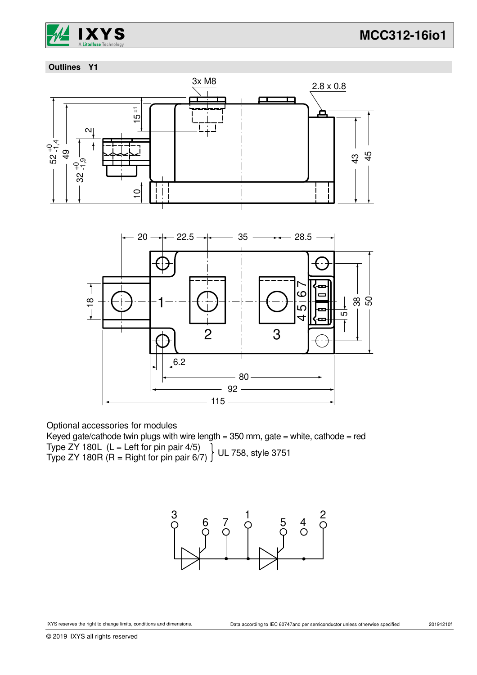

### **Outlines Y1**



Optional accessories for modules

Keyed gate/cathode twin plugs with wire length =  $350$  mm, gate = white, cathode = red Type ZY 180L  $(L = Left for pin pair 4/5)$ Type ZY 180R (R = Right for pin pair 6/7) UL 758, style 3751

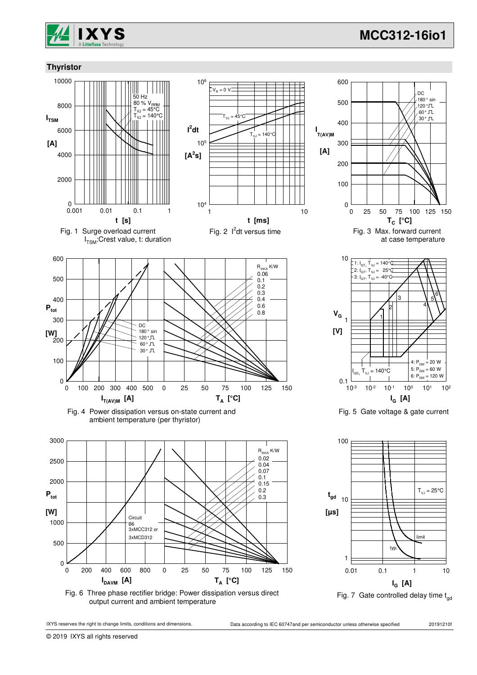







0.01 0.1 1 10

Fig. 7 Gate controlled delay time  $t_{dd}$ 

**IG [A]**